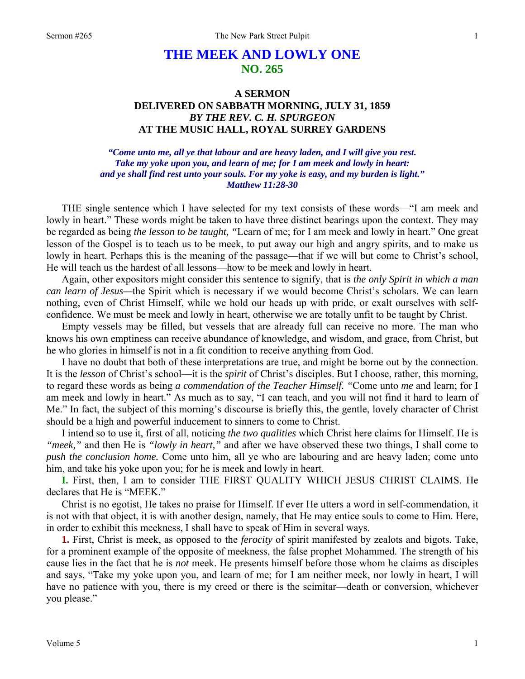# **THE MEEK AND LOWLY ONE NO. 265**

## **A SERMON DELIVERED ON SABBATH MORNING, JULY 31, 1859**  *BY THE REV. C. H. SPURGEON*  **AT THE MUSIC HALL, ROYAL SURREY GARDENS**

*"Come unto me, all ye that labour and are heavy laden, and I will give you rest. Take my yoke upon you, and learn of me; for I am meek and lowly in heart: and ye shall find rest unto your souls. For my yoke is easy, and my burden is light." Matthew 11:28-30* 

THE single sentence which I have selected for my text consists of these words—"I am meek and lowly in heart." These words might be taken to have three distinct bearings upon the context. They may be regarded as being *the lesson to be taught, "*Learn of me; for I am meek and lowly in heart." One great lesson of the Gospel is to teach us to be meek, to put away our high and angry spirits, and to make us lowly in heart. Perhaps this is the meaning of the passage—that if we will but come to Christ's school, He will teach us the hardest of all lessons—how to be meek and lowly in heart.

Again, other expositors might consider this sentence to signify, that is *the only Spirit in which a man can learn of Jesus—*the Spirit which is necessary if we would become Christ's scholars. We can learn nothing, even of Christ Himself, while we hold our heads up with pride, or exalt ourselves with selfconfidence. We must be meek and lowly in heart, otherwise we are totally unfit to be taught by Christ.

Empty vessels may be filled, but vessels that are already full can receive no more. The man who knows his own emptiness can receive abundance of knowledge, and wisdom, and grace, from Christ, but he who glories in himself is not in a fit condition to receive anything from God.

I have no doubt that both of these interpretations are true, and might be borne out by the connection. It is the *lesson* of Christ's school—it is the *spirit* of Christ's disciples. But I choose, rather, this morning, to regard these words as being *a commendation of the Teacher Himself. "*Come unto *me* and learn; for I am meek and lowly in heart." As much as to say, "I can teach, and you will not find it hard to learn of Me." In fact, the subject of this morning's discourse is briefly this, the gentle, lovely character of Christ should be a high and powerful inducement to sinners to come to Christ.

I intend so to use it, first of all, noticing *the two qualities* which Christ here claims for Himself. He is *"meek,"* and then He is *"lowly in heart,"* and after we have observed these two things, I shall come to *push the conclusion home.* Come unto him, all ye who are labouring and are heavy laden; come unto him, and take his yoke upon you; for he is meek and lowly in heart.

**I.** First, then, I am to consider THE FIRST QUALITY WHICH JESUS CHRIST CLAIMS. He declares that He is "MEEK."

Christ is no egotist, He takes no praise for Himself. If ever He utters a word in self-commendation, it is not with that object, it is with another design, namely, that He may entice souls to come to Him. Here, in order to exhibit this meekness, I shall have to speak of Him in several ways.

**1.** First, Christ is meek, as opposed to the *ferocity* of spirit manifested by zealots and bigots. Take, for a prominent example of the opposite of meekness, the false prophet Mohammed. The strength of his cause lies in the fact that he is *not* meek. He presents himself before those whom he claims as disciples and says, "Take my yoke upon you, and learn of me; for I am neither meek, nor lowly in heart, I will have no patience with you, there is my creed or there is the scimitar—death or conversion, whichever you please."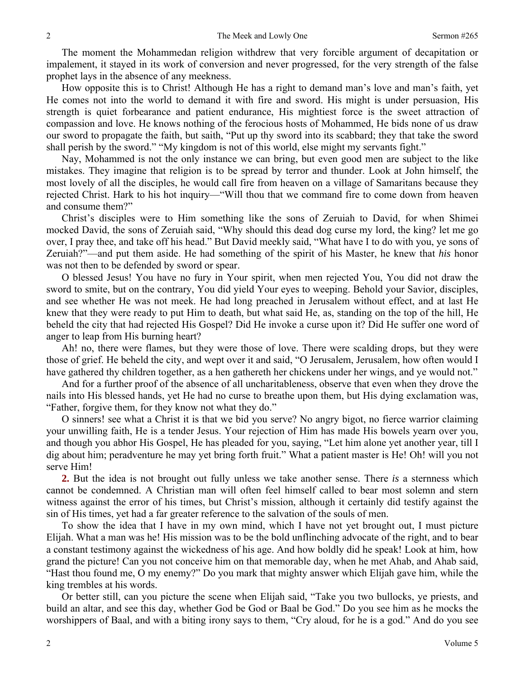The moment the Mohammedan religion withdrew that very forcible argument of decapitation or impalement, it stayed in its work of conversion and never progressed, for the very strength of the false prophet lays in the absence of any meekness.

How opposite this is to Christ! Although He has a right to demand man's love and man's faith, yet He comes not into the world to demand it with fire and sword. His might is under persuasion, His strength is quiet forbearance and patient endurance, His mightiest force is the sweet attraction of compassion and love. He knows nothing of the ferocious hosts of Mohammed, He bids none of us draw our sword to propagate the faith, but saith, "Put up thy sword into its scabbard; they that take the sword shall perish by the sword." "My kingdom is not of this world, else might my servants fight."

Nay, Mohammed is not the only instance we can bring, but even good men are subject to the like mistakes. They imagine that religion is to be spread by terror and thunder. Look at John himself, the most lovely of all the disciples, he would call fire from heaven on a village of Samaritans because they rejected Christ. Hark to his hot inquiry—"Will thou that we command fire to come down from heaven and consume them?"

Christ's disciples were to Him something like the sons of Zeruiah to David, for when Shimei mocked David, the sons of Zeruiah said, "Why should this dead dog curse my lord, the king? let me go over, I pray thee, and take off his head." But David meekly said, "What have I to do with you, ye sons of Zeruiah?"—and put them aside. He had something of the spirit of his Master, he knew that *his* honor was not then to be defended by sword or spear.

O blessed Jesus! You have no fury in Your spirit, when men rejected You, You did not draw the sword to smite, but on the contrary, You did yield Your eyes to weeping. Behold your Savior, disciples, and see whether He was not meek. He had long preached in Jerusalem without effect, and at last He knew that they were ready to put Him to death, but what said He, as, standing on the top of the hill, He beheld the city that had rejected His Gospel? Did He invoke a curse upon it? Did He suffer one word of anger to leap from His burning heart?

Ah! no, there were flames, but they were those of love. There were scalding drops, but they were those of grief. He beheld the city, and wept over it and said, "O Jerusalem, Jerusalem, how often would I have gathered thy children together, as a hen gathereth her chickens under her wings, and ye would not."

And for a further proof of the absence of all uncharitableness, observe that even when they drove the nails into His blessed hands, yet He had no curse to breathe upon them, but His dying exclamation was, "Father, forgive them, for they know not what they do."

O sinners! see what a Christ it is that we bid you serve? No angry bigot, no fierce warrior claiming your unwilling faith, He is a tender Jesus. Your rejection of Him has made His bowels yearn over you, and though you abhor His Gospel, He has pleaded for you, saying, "Let him alone yet another year, till I dig about him; peradventure he may yet bring forth fruit." What a patient master is He! Oh! will you not serve Him!

**2.** But the idea is not brought out fully unless we take another sense. There *is* a sternness which cannot be condemned. A Christian man will often feel himself called to bear most solemn and stern witness against the error of his times, but Christ's mission, although it certainly did testify against the sin of His times, yet had a far greater reference to the salvation of the souls of men.

To show the idea that I have in my own mind, which I have not yet brought out, I must picture Elijah. What a man was he! His mission was to be the bold unflinching advocate of the right, and to bear a constant testimony against the wickedness of his age. And how boldly did he speak! Look at him, how grand the picture! Can you not conceive him on that memorable day, when he met Ahab, and Ahab said, "Hast thou found me, O my enemy?" Do you mark that mighty answer which Elijah gave him, while the king trembles at his words.

Or better still, can you picture the scene when Elijah said, "Take you two bullocks, ye priests, and build an altar, and see this day, whether God be God or Baal be God." Do you see him as he mocks the worshippers of Baal, and with a biting irony says to them, "Cry aloud, for he is a god." And do you see

2

2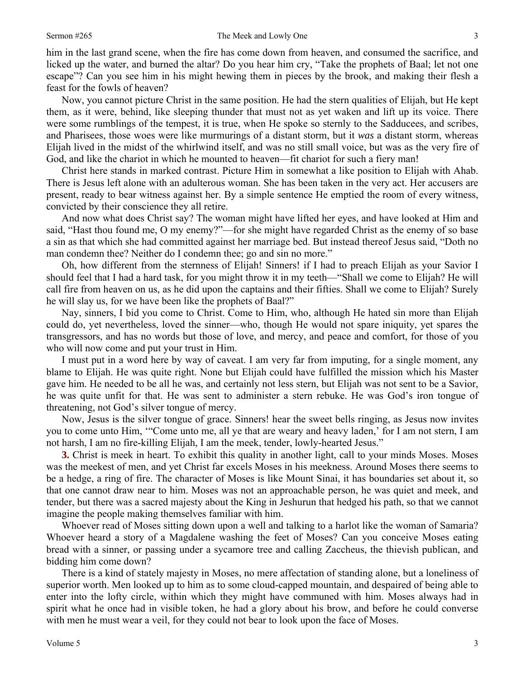him in the last grand scene, when the fire has come down from heaven, and consumed the sacrifice, and licked up the water, and burned the altar? Do you hear him cry, "Take the prophets of Baal; let not one escape"? Can you see him in his might hewing them in pieces by the brook, and making their flesh a feast for the fowls of heaven?

Now, you cannot picture Christ in the same position. He had the stern qualities of Elijah, but He kept them, as it were, behind, like sleeping thunder that must not as yet waken and lift up its voice. There were some rumblings of the tempest, it is true, when He spoke so sternly to the Sadducees, and scribes, and Pharisees, those woes were like murmurings of a distant storm, but it *was* a distant storm, whereas Elijah lived in the midst of the whirlwind itself, and was no still small voice, but was as the very fire of God, and like the chariot in which he mounted to heaven—fit chariot for such a fiery man!

Christ here stands in marked contrast. Picture Him in somewhat a like position to Elijah with Ahab. There is Jesus left alone with an adulterous woman. She has been taken in the very act. Her accusers are present, ready to bear witness against her. By a simple sentence He emptied the room of every witness, convicted by their conscience they all retire.

And now what does Christ say? The woman might have lifted her eyes, and have looked at Him and said, "Hast thou found me, O my enemy?"—for she might have regarded Christ as the enemy of so base a sin as that which she had committed against her marriage bed. But instead thereof Jesus said, "Doth no man condemn thee? Neither do I condemn thee; go and sin no more."

Oh, how different from the sternness of Elijah! Sinners! if I had to preach Elijah as your Savior I should feel that I had a hard task, for you might throw it in my teeth—"Shall we come to Elijah? He will call fire from heaven on us, as he did upon the captains and their fifties. Shall we come to Elijah? Surely he will slay us, for we have been like the prophets of Baal?"

Nay, sinners, I bid you come to Christ. Come to Him, who, although He hated sin more than Elijah could do, yet nevertheless, loved the sinner—who, though He would not spare iniquity, yet spares the transgressors, and has no words but those of love, and mercy, and peace and comfort, for those of you who will now come and put your trust in Him.

I must put in a word here by way of caveat. I am very far from imputing, for a single moment, any blame to Elijah. He was quite right. None but Elijah could have fulfilled the mission which his Master gave him. He needed to be all he was, and certainly not less stern, but Elijah was not sent to be a Savior, he was quite unfit for that. He was sent to administer a stern rebuke. He was God's iron tongue of threatening, not God's silver tongue of mercy.

Now, Jesus is the silver tongue of grace. Sinners! hear the sweet bells ringing, as Jesus now invites you to come unto Him, '"Come unto me, all ye that are weary and heavy laden,' for I am not stern, I am not harsh, I am no fire-killing Elijah, I am the meek, tender, lowly-hearted Jesus."

**3.** Christ is meek in heart. To exhibit this quality in another light, call to your minds Moses. Moses was the meekest of men, and yet Christ far excels Moses in his meekness. Around Moses there seems to be a hedge, a ring of fire. The character of Moses is like Mount Sinai, it has boundaries set about it, so that one cannot draw near to him. Moses was not an approachable person, he was quiet and meek, and tender, but there was a sacred majesty about the King in Jeshurun that hedged his path, so that we cannot imagine the people making themselves familiar with him.

Whoever read of Moses sitting down upon a well and talking to a harlot like the woman of Samaria? Whoever heard a story of a Magdalene washing the feet of Moses? Can you conceive Moses eating bread with a sinner, or passing under a sycamore tree and calling Zaccheus, the thievish publican, and bidding him come down?

There is a kind of stately majesty in Moses, no mere affectation of standing alone, but a loneliness of superior worth. Men looked up to him as to some cloud-capped mountain, and despaired of being able to enter into the lofty circle, within which they might have communed with him. Moses always had in spirit what he once had in visible token, he had a glory about his brow, and before he could converse with men he must wear a veil, for they could not bear to look upon the face of Moses.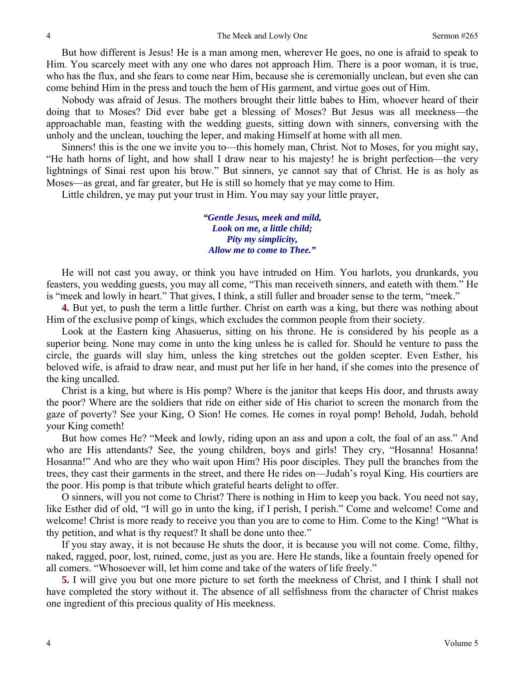But how different is Jesus! He is a man among men, wherever He goes, no one is afraid to speak to Him. You scarcely meet with any one who dares not approach Him. There is a poor woman, it is true, who has the flux, and she fears to come near Him, because she is ceremonially unclean, but even she can come behind Him in the press and touch the hem of His garment, and virtue goes out of Him.

Nobody was afraid of Jesus. The mothers brought their little babes to Him, whoever heard of their doing that to Moses? Did ever babe get a blessing of Moses? But Jesus was all meekness—the approachable man, feasting with the wedding guests, sitting down with sinners, conversing with the unholy and the unclean, touching the leper, and making Himself at home with all men.

Sinners! this is the one we invite you to—this homely man, Christ. Not to Moses, for you might say, "He hath horns of light, and how shall I draw near to his majesty! he is bright perfection—the very lightnings of Sinai rest upon his brow." But sinners, ye cannot say that of Christ. He is as holy as Moses—as great, and far greater, but He is still so homely that ye may come to Him.

Little children, ye may put your trust in Him. You may say your little prayer,

*"Gentle Jesus, meek and mild, Look on me, a little child; Pity my simplicity, Allow me to come to Thee."* 

He will not cast you away, or think you have intruded on Him. You harlots, you drunkards, you feasters, you wedding guests, you may all come, "This man receiveth sinners, and eateth with them." He is "meek and lowly in heart." That gives, I think, a still fuller and broader sense to the term, "meek."

**4.** But yet, to push the term a little further. Christ on earth was a king, but there was nothing about Him of the exclusive pomp of kings, which excludes the common people from their society.

Look at the Eastern king Ahasuerus, sitting on his throne. He is considered by his people as a superior being. None may come in unto the king unless he is called for. Should he venture to pass the circle, the guards will slay him, unless the king stretches out the golden scepter. Even Esther, his beloved wife, is afraid to draw near, and must put her life in her hand, if she comes into the presence of the king uncalled.

Christ is a king, but where is His pomp? Where is the janitor that keeps His door, and thrusts away the poor? Where are the soldiers that ride on either side of His chariot to screen the monarch from the gaze of poverty? See your King, O Sion! He comes. He comes in royal pomp! Behold, Judah, behold your King cometh!

But how comes He? "Meek and lowly, riding upon an ass and upon a colt, the foal of an ass." And who are His attendants? See, the young children, boys and girls! They cry, "Hosanna! Hosanna! Hosanna!" And who are they who wait upon Him? His poor disciples. They pull the branches from the trees, they cast their garments in the street, and there He rides on—Judah's royal King. His courtiers are the poor. His pomp is that tribute which grateful hearts delight to offer.

O sinners, will you not come to Christ? There is nothing in Him to keep you back. You need not say, like Esther did of old, "I will go in unto the king, if I perish, I perish." Come and welcome! Come and welcome! Christ is more ready to receive you than you are to come to Him. Come to the King! "What is thy petition, and what is thy request? It shall be done unto thee."

If you stay away, it is not because He shuts the door, it is because you will not come. Come, filthy, naked, ragged, poor, lost, ruined, come, just as you are. Here He stands, like a fountain freely opened for all comers. "Whosoever will, let him come and take of the waters of life freely."

**5.** I will give you but one more picture to set forth the meekness of Christ, and I think I shall not have completed the story without it. The absence of all selfishness from the character of Christ makes one ingredient of this precious quality of His meekness.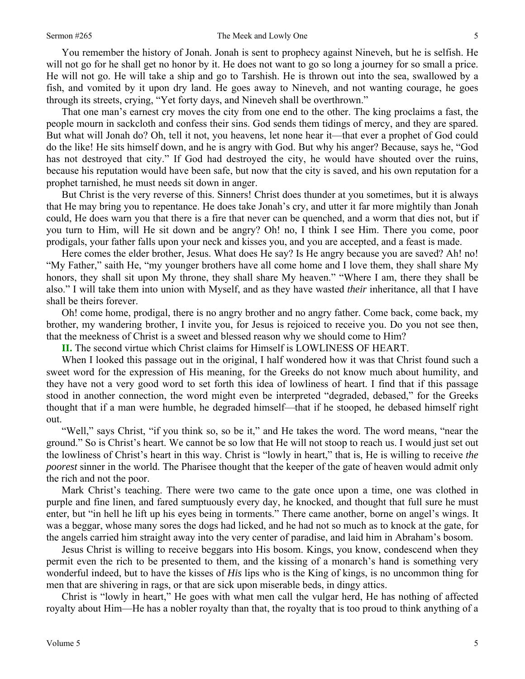### Sermon #265 The Meek and Lowly One

You remember the history of Jonah. Jonah is sent to prophecy against Nineveh, but he is selfish. He will not go for he shall get no honor by it. He does not want to go so long a journey for so small a price. He will not go. He will take a ship and go to Tarshish. He is thrown out into the sea, swallowed by a fish, and vomited by it upon dry land. He goes away to Nineveh, and not wanting courage, he goes through its streets, crying, "Yet forty days, and Nineveh shall be overthrown."

That one man's earnest cry moves the city from one end to the other. The king proclaims a fast, the people mourn in sackcloth and confess their sins. God sends them tidings of mercy, and they are spared. But what will Jonah do? Oh, tell it not, you heavens, let none hear it—that ever a prophet of God could do the like! He sits himself down, and he is angry with God. But why his anger? Because, says he, "God has not destroyed that city." If God had destroyed the city, he would have shouted over the ruins, because his reputation would have been safe, but now that the city is saved, and his own reputation for a prophet tarnished, he must needs sit down in anger.

But Christ is the very reverse of this. Sinners! Christ does thunder at you sometimes, but it is always that He may bring you to repentance. He does take Jonah's cry, and utter it far more mightily than Jonah could, He does warn you that there is a fire that never can be quenched, and a worm that dies not, but if you turn to Him, will He sit down and be angry? Oh! no, I think I see Him. There you come, poor prodigals, your father falls upon your neck and kisses you, and you are accepted, and a feast is made.

Here comes the elder brother, Jesus. What does He say? Is He angry because you are saved? Ah! no! "My Father," saith He, "my younger brothers have all come home and I love them, they shall share My honors, they shall sit upon My throne, they shall share My heaven." "Where I am, there they shall be also." I will take them into union with Myself, and as they have wasted *their* inheritance, all that I have shall be theirs forever.

Oh! come home, prodigal, there is no angry brother and no angry father. Come back, come back, my brother, my wandering brother, I invite you, for Jesus is rejoiced to receive you. Do you not see then, that the meekness of Christ is a sweet and blessed reason why we should come to Him?

**II.** The second virtue which Christ claims for Himself is LOWLINESS OF HEART.

When I looked this passage out in the original, I half wondered how it was that Christ found such a sweet word for the expression of His meaning, for the Greeks do not know much about humility, and they have not a very good word to set forth this idea of lowliness of heart. I find that if this passage stood in another connection, the word might even be interpreted "degraded, debased," for the Greeks thought that if a man were humble, he degraded himself—that if he stooped, he debased himself right out.

"Well," says Christ, "if you think so, so be it," and He takes the word. The word means, "near the ground." So is Christ's heart. We cannot be so low that He will not stoop to reach us. I would just set out the lowliness of Christ's heart in this way. Christ is "lowly in heart," that is, He is willing to receive *the poorest* sinner in the world. The Pharisee thought that the keeper of the gate of heaven would admit only the rich and not the poor.

Mark Christ's teaching. There were two came to the gate once upon a time, one was clothed in purple and fine linen, and fared sumptuously every day, he knocked, and thought that full sure he must enter, but "in hell he lift up his eyes being in torments." There came another, borne on angel's wings. It was a beggar, whose many sores the dogs had licked, and he had not so much as to knock at the gate, for the angels carried him straight away into the very center of paradise, and laid him in Abraham's bosom.

Jesus Christ is willing to receive beggars into His bosom. Kings, you know, condescend when they permit even the rich to be presented to them, and the kissing of a monarch's hand is something very wonderful indeed, but to have the kisses of *His* lips who is the King of kings, is no uncommon thing for men that are shivering in rags, or that are sick upon miserable beds, in dingy attics.

Christ is "lowly in heart," He goes with what men call the vulgar herd, He has nothing of affected royalty about Him—He has a nobler royalty than that, the royalty that is too proud to think anything of a

5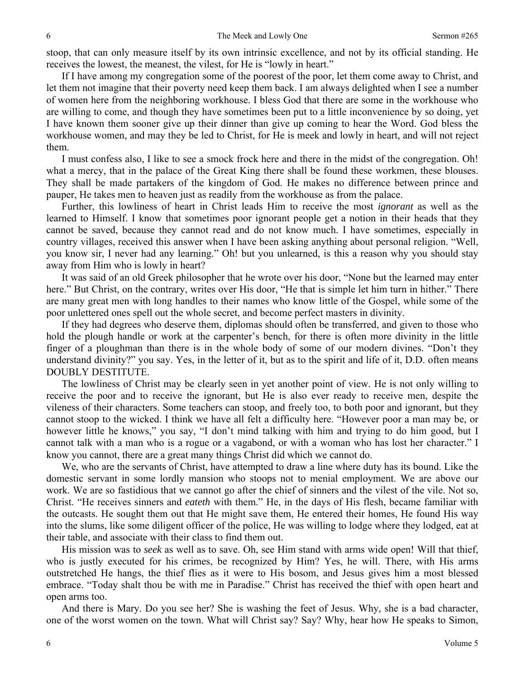stoop, that can only measure itself by its own intrinsic excellence, and not by its official standing. He receives the lowest, the meanest, the vilest, for He is "lowly in heart."

If I have among my congregation some of the poorest of the poor, let them come away to Christ, and let them not imagine that their poverty need keep them back. I am always delighted when I see a number of women here from the neighboring workhouse. I bless God that there are some in the workhouse who are willing to come, and though they have sometimes been put to a little inconvenience by so doing, yet I have known them sooner give up their dinner than give up coming to hear the Word. God bless the workhouse women, and may they be led to Christ, for He is meek and lowly in heart, and will not reject them.

I must confess also, I like to see a smock frock here and there in the midst of the congregation. Oh! what a mercy, that in the palace of the Great King there shall be found these workmen, these blouses. They shall be made partakers of the kingdom of God. He makes no difference between prince and pauper, He takes men to heaven just as readily from the workhouse as from the palace.

Further, this lowliness of heart in Christ leads Him to receive the most *ignorant* as well as the learned to Himself. I know that sometimes poor ignorant people get a notion in their heads that they cannot be saved, because they cannot read and do not know much. I have sometimes, especially in country villages, received this answer when I have been asking anything about personal religion. "Well, you know sir, I never had any learning." Oh! but you unlearned, is this a reason why you should stay away from Him who is lowly in heart?

It was said of an old Greek philosopher that he wrote over his door, "None but the learned may enter here." But Christ, on the contrary, writes over His door, "He that is simple let him turn in hither." There are many great men with long handles to their names who know little of the Gospel, while some of the poor unlettered ones spell out the whole secret, and become perfect masters in divinity.

If they had degrees who deserve them, diplomas should often be transferred, and given to those who hold the plough handle or work at the carpenter's bench, for there is often more divinity in the little finger of a ploughman than there is in the whole body of some of our modern divines. "Don't they understand divinity?" you say. Yes, in the letter of it, but as to the spirit and life of it, D.D. often means DOUBLY DESTITUTE.

The lowliness of Christ may be clearly seen in yet another point of view. He is not only willing to receive the poor and to receive the ignorant, but He is also ever ready to receive men, despite the vileness of their characters. Some teachers can stoop, and freely too, to both poor and ignorant, but they cannot stoop to the wicked. I think we have all felt a difficulty here. "However poor a man may be, or however little he knows," you say, "I don't mind talking with him and trying to do him good, but I cannot talk with a man who is a rogue or a vagabond, or with a woman who has lost her character." I know you cannot, there are a great many things Christ did which we cannot do.

We, who are the servants of Christ, have attempted to draw a line where duty has its bound. Like the domestic servant in some lordly mansion who stoops not to menial employment. We are above our work. We are so fastidious that we cannot go after the chief of sinners and the vilest of the vile. Not so, Christ. "He receives sinners and *eateth* with them." He, in the days of His flesh, became familiar with the outcasts. He sought them out that He might save them, He entered their homes, He found His way into the slums, like some diligent officer of the police, He was willing to lodge where they lodged, eat at their table, and associate with their class to find them out.

His mission was to *seek* as well as to save. Oh, see Him stand with arms wide open! Will that thief, who is justly executed for his crimes, be recognized by Him? Yes, he will. There, with His arms outstretched He hangs, the thief flies as it were to His bosom, and Jesus gives him a most blessed embrace. "Today shalt thou be with me in Paradise." Christ has received the thief with open heart and open arms too.

And there is Mary. Do you see her? She is washing the feet of Jesus. Why, she is a bad character, one of the worst women on the town. What will Christ say? Say? Why, hear how He speaks to Simon,

6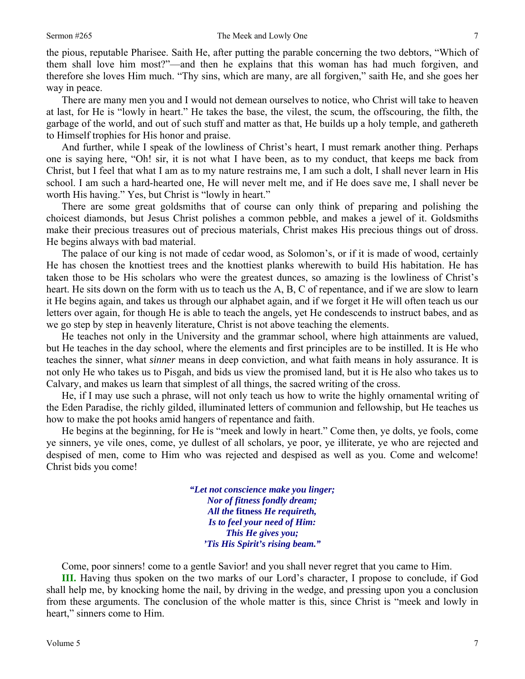the pious, reputable Pharisee. Saith He, after putting the parable concerning the two debtors, "Which of them shall love him most?"—and then he explains that this woman has had much forgiven, and therefore she loves Him much. "Thy sins, which are many, are all forgiven," saith He, and she goes her way in peace.

There are many men you and I would not demean ourselves to notice, who Christ will take to heaven at last, for He is "lowly in heart." He takes the base, the vilest, the scum, the offscouring, the filth, the garbage of the world, and out of such stuff and matter as that, He builds up a holy temple, and gathereth to Himself trophies for His honor and praise.

And further, while I speak of the lowliness of Christ's heart, I must remark another thing. Perhaps one is saying here, "Oh! sir, it is not what I have been, as to my conduct, that keeps me back from Christ, but I feel that what I am as to my nature restrains me, I am such a dolt, I shall never learn in His school. I am such a hard-hearted one, He will never melt me, and if He does save me, I shall never be worth His having." Yes, but Christ is "lowly in heart."

There are some great goldsmiths that of course can only think of preparing and polishing the choicest diamonds, but Jesus Christ polishes a common pebble, and makes a jewel of it. Goldsmiths make their precious treasures out of precious materials, Christ makes His precious things out of dross. He begins always with bad material.

The palace of our king is not made of cedar wood, as Solomon's, or if it is made of wood, certainly He has chosen the knottiest trees and the knottiest planks wherewith to build His habitation. He has taken those to be His scholars who were the greatest dunces, so amazing is the lowliness of Christ's heart. He sits down on the form with us to teach us the A, B, C of repentance, and if we are slow to learn it He begins again, and takes us through our alphabet again, and if we forget it He will often teach us our letters over again, for though He is able to teach the angels, yet He condescends to instruct babes, and as we go step by step in heavenly literature, Christ is not above teaching the elements.

He teaches not only in the University and the grammar school, where high attainments are valued, but He teaches in the day school, where the elements and first principles are to be instilled. It is He who teaches the sinner, what *sinner* means in deep conviction, and what faith means in holy assurance. It is not only He who takes us to Pisgah, and bids us view the promised land, but it is He also who takes us to Calvary, and makes us learn that simplest of all things, the sacred writing of the cross.

He, if I may use such a phrase, will not only teach us how to write the highly ornamental writing of the Eden Paradise, the richly gilded, illuminated letters of communion and fellowship, but He teaches us how to make the pot hooks amid hangers of repentance and faith.

He begins at the beginning, for He is "meek and lowly in heart." Come then, ye dolts, ye fools, come ye sinners, ye vile ones, come, ye dullest of all scholars, ye poor, ye illiterate, ye who are rejected and despised of men, come to Him who was rejected and despised as well as you. Come and welcome! Christ bids you come!

> *"Let not conscience make you linger; Nor of fitness fondly dream; All the* **fitness** *He requireth, Is to feel your need of Him: This He gives you; 'Tis His Spirit's rising beam."*

Come, poor sinners! come to a gentle Savior! and you shall never regret that you came to Him.

**III.** Having thus spoken on the two marks of our Lord's character, I propose to conclude, if God shall help me, by knocking home the nail, by driving in the wedge, and pressing upon you a conclusion from these arguments. The conclusion of the whole matter is this, since Christ is "meek and lowly in heart," sinners come to Him.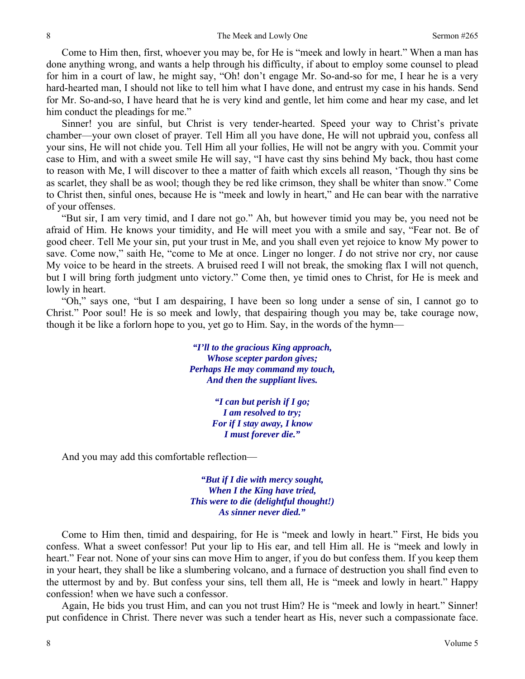Come to Him then, first, whoever you may be, for He is "meek and lowly in heart." When a man has done anything wrong, and wants a help through his difficulty, if about to employ some counsel to plead for him in a court of law, he might say, "Oh! don't engage Mr. So-and-so for me, I hear he is a very hard-hearted man, I should not like to tell him what I have done, and entrust my case in his hands. Send for Mr. So-and-so, I have heard that he is very kind and gentle, let him come and hear my case, and let him conduct the pleadings for me."

Sinner! you are sinful, but Christ is very tender-hearted. Speed your way to Christ's private chamber—your own closet of prayer. Tell Him all you have done, He will not upbraid you, confess all your sins, He will not chide you. Tell Him all your follies, He will not be angry with you. Commit your case to Him, and with a sweet smile He will say, "I have cast thy sins behind My back, thou hast come to reason with Me, I will discover to thee a matter of faith which excels all reason, 'Though thy sins be as scarlet, they shall be as wool; though they be red like crimson, they shall be whiter than snow." Come to Christ then, sinful ones, because He is "meek and lowly in heart," and He can bear with the narrative of your offenses.

"But sir, I am very timid, and I dare not go." Ah, but however timid you may be, you need not be afraid of Him. He knows your timidity, and He will meet you with a smile and say, "Fear not. Be of good cheer. Tell Me your sin, put your trust in Me, and you shall even yet rejoice to know My power to save. Come now," saith He, "come to Me at once. Linger no longer. *I* do not strive nor cry, nor cause My voice to be heard in the streets. A bruised reed I will not break, the smoking flax I will not quench, but I will bring forth judgment unto victory." Come then, ye timid ones to Christ, for He is meek and lowly in heart.

"Oh," says one, "but I am despairing, I have been so long under a sense of sin, I cannot go to Christ." Poor soul! He is so meek and lowly, that despairing though you may be, take courage now, though it be like a forlorn hope to you, yet go to Him. Say, in the words of the hymn—

> *"I'll to the gracious King approach, Whose scepter pardon gives; Perhaps He may command my touch, And then the suppliant lives.*

> > *"I can but perish if I go; I am resolved to try; For if I stay away, I know I must forever die."*

And you may add this comfortable reflection—

*"But if I die with mercy sought, When I the King have tried, This were to die (delightful thought!) As sinner never died."* 

Come to Him then, timid and despairing, for He is "meek and lowly in heart." First, He bids you confess. What a sweet confessor! Put your lip to His ear, and tell Him all. He is "meek and lowly in heart." Fear not. None of your sins can move Him to anger, if you do but confess them. If you keep them in your heart, they shall be like a slumbering volcano, and a furnace of destruction you shall find even to the uttermost by and by. But confess your sins, tell them all, He is "meek and lowly in heart." Happy confession! when we have such a confessor.

Again, He bids you trust Him, and can you not trust Him? He is "meek and lowly in heart*.*" Sinner! put confidence in Christ. There never was such a tender heart as His, never such a compassionate face.